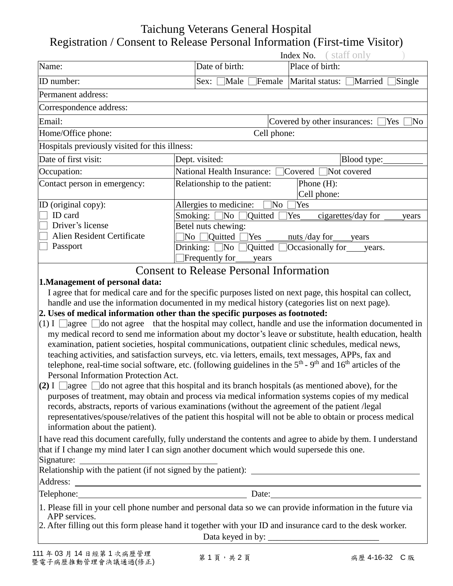## Taichung Veterans General Hospital Registration / Consent to Release Personal Information (First-time Visitor)

| Index No. | staff only |  |
|-----------|------------|--|
|           |            |  |

|                                                |                                                                  | Index No.                      | staff only                  |
|------------------------------------------------|------------------------------------------------------------------|--------------------------------|-----------------------------|
| Name:                                          | Date of birth:                                                   | Place of birth:                |                             |
| ID number:                                     | Sex:<br>Male                                                     | Female Marital status: Married | Single                      |
| Permanent address:                             |                                                                  |                                |                             |
| Correspondence address:                        |                                                                  |                                |                             |
| Email:                                         | Covered by other insurances:<br>No<br>Yes                        |                                |                             |
| Home/Office phone:                             | Cell phone:                                                      |                                |                             |
| Hospitals previously visited for this illness: |                                                                  |                                |                             |
| Date of first visit:                           | Dept. visited:                                                   |                                | Blood type:                 |
| Occupation:                                    | National Health Insurance: □ Covered                             |                                | Not covered                 |
| Contact person in emergency:                   | Relationship to the patient:                                     | Phone $(H)$ :<br>Cell phone:   |                             |
| ID (original copy):                            | Allergies to medicine:                                           | No<br>Yes                      |                             |
| ID card                                        | Smoking:<br>$\neg$ No<br><b>Quitted</b>                          | Yes                            | cigarettes/day for<br>vears |
| Driver's license                               | Betel nuts chewing:                                              |                                |                             |
| Alien Resident Certificate                     | Quitted<br>Yes<br>$\overline{\text{No}}$                         | nuts/day for                   | years                       |
| Passport                                       | Drinking: $\Box$ No<br><b>Quitted</b><br>Frequently for<br>years | Occasionally for years.        |                             |

### Consent to Release Personal Information

#### **1.Management of personal data:**

I agree that for medical care and for the specific purposes listed on next page, this hospital can collect, handle and use the information documented in my medical history (categories list on next page).

#### **2. Uses of medical information other than the specific purposes as footnoted:**

- $(1)$  I  $\Box$ agree  $\Box$ do not agree that the hospital may collect, handle and use the information documented in my medical record to send me information about my doctor's leave or substitute, health education, health examination, patient societies, hospital communications, outpatient clinic schedules, medical news, teaching activities, and satisfaction surveys, etc. via letters, emails, text messages, APPs, fax and telephone, real-time social software, etc. (following guidelines in the  $5<sup>th</sup>$  -  $9<sup>th</sup>$  and  $16<sup>th</sup>$  articles of the Personal Information Protection Act.
- **(2)** I  $\Box$  agree  $\Box$  do not agree that this hospital and its branch hospitals (as mentioned above), for the purposes of treatment, may obtain and process via medical information systems copies of my medical records, abstracts, reports of various examinations (without the agreement of the patient /legal representatives/spouse/relatives of the patient this hospital will not be able to obtain or process medical information about the patient).

I have read this document carefully, fully understand the contents and agree to abide by them. I understand that if I change my mind later I can sign another document which would supersede this one. Signature:

|               | Relationship with the patient (if not signed by the patient): ___________________                          |
|---------------|------------------------------------------------------------------------------------------------------------|
| Address:      |                                                                                                            |
| Telephone:    | Date:                                                                                                      |
| APP services. | 1. Please fill in your cell phone number and personal data so we can provide information in the future via |
|               | 2. After filling out this form please hand it together with your ID and insurance card to the desk worker. |
|               | Data keyed in by:                                                                                          |